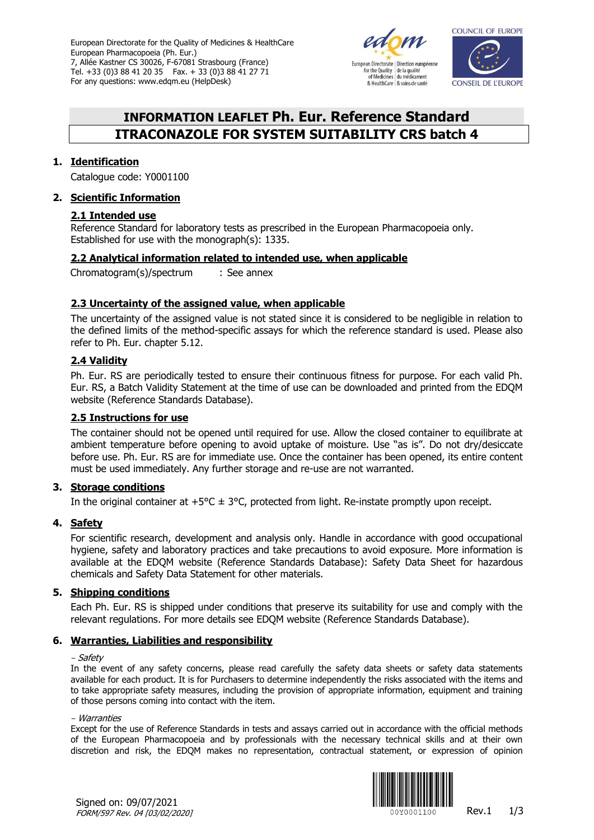European Directorate for the Quality of Medicines & HealthCare European Pharmacopoeia (Ph. Eur.) 7, Allée Kastner CS 30026, F-67081 Strasbourg (France) Tel. +33 (0)3 88 41 20 35 Fax. + 33 (0)3 88 41 27 71 For any questions: www.edqm.eu (HelpDesk)





# **INFORMATION LEAFLET Ph. Eur. Reference Standard ITRACONAZOLE FOR SYSTEM SUITABILITY CRS batch 4**

# **1. Identification**

Catalogue code: Y0001100

# **2. Scientific Information**

# **2.1 Intended use**

Reference Standard for laboratory tests as prescribed in the European Pharmacopoeia only. Established for use with the monograph(s): 1335.

# **2.2 Analytical information related to intended use, when applicable**

Chromatogram(s)/spectrum : See annex

# **2.3 Uncertainty of the assigned value, when applicable**

The uncertainty of the assigned value is not stated since it is considered to be negligible in relation to the defined limits of the method-specific assays for which the reference standard is used. Please also refer to Ph. Eur. chapter 5.12.

# **2.4 Validity**

Ph. Eur. RS are periodically tested to ensure their continuous fitness for purpose. For each valid Ph. Eur. RS, a Batch Validity Statement at the time of use can be downloaded and printed from the EDQM website [\(Reference Standards Database\)](https://crs.edqm.eu/).

# **2.5 Instructions for use**

The container should not be opened until required for use. Allow the closed container to equilibrate at ambient temperature before opening to avoid uptake of moisture. Use "as is". Do not dry/desiccate before use. Ph. Eur. RS are for immediate use. Once the container has been opened, its entire content must be used immediately. Any further storage and re-use are not warranted.

## **3. Storage conditions**

In the original container at  $+5^{\circ}C \pm 3^{\circ}C$ , protected from light. Re-instate promptly upon receipt.

## **4. Safety**

For scientific research, development and analysis only. Handle in accordance with good occupational hygiene, safety and laboratory practices and take precautions to avoid exposure. More information is available at the EDQM website [\(Reference Standards Database\)](https://crs.edqm.eu/): Safety Data Sheet for hazardous chemicals and Safety Data Statement for other materials.

## **5. Shipping conditions**

Each Ph. Eur. RS is shipped under conditions that preserve its suitability for use and comply with the relevant regulations. For more details see EDQM website [\(Reference Standards Database\)](https://crs.edqm.eu/).

## **6. Warranties, Liabilities and responsibility**

#### - Safety

In the event of any safety concerns, please read carefully the safety data sheets or safety data statements available for each product. It is for Purchasers to determine independently the risks associated with the items and to take appropriate safety measures, including the provision of appropriate information, equipment and training of those persons coming into contact with the item.

#### - Warranties

Except for the use of Reference Standards in tests and assays carried out in accordance with the official methods of the European Pharmacopoeia and by professionals with the necessary technical skills and at their own discretion and risk, the EDQM makes no representation, contractual statement, or expression of opinion



Signed on: 09/07/2021 FORM/597 Rev. 04 [03/02/2020]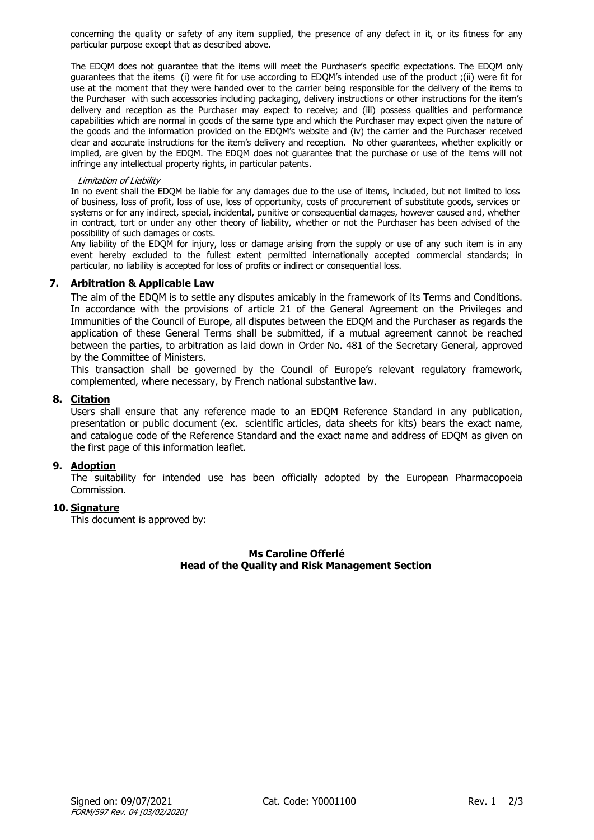concerning the quality or safety of any item supplied, the presence of any defect in it, or its fitness for any particular purpose except that as described above.

The EDQM does not guarantee that the items will meet the Purchaser's specific expectations. The EDQM only guarantees that the items (i) were fit for use according to EDQM's intended use of the product ;(ii) were fit for use at the moment that they were handed over to the carrier being responsible for the delivery of the items to the Purchaser with such accessories including packaging, delivery instructions or other instructions for the item's delivery and reception as the Purchaser may expect to receive; and (iii) possess qualities and performance capabilities which are normal in goods of the same type and which the Purchaser may expect given the nature of the goods and the information provided on the EDQM's website and (iv) the carrier and the Purchaser received clear and accurate instructions for the item's delivery and reception. No other guarantees, whether explicitly or implied, are given by the EDQM. The EDQM does not guarantee that the purchase or use of the items will not infringe any intellectual property rights, in particular patents.

#### - Limitation of Liability

In no event shall the EDOM be liable for any damages due to the use of items, included, but not limited to loss of business, loss of profit, loss of use, loss of opportunity, costs of procurement of substitute goods, services or systems or for any indirect, special, incidental, punitive or consequential damages, however caused and, whether in contract, tort or under any other theory of liability, whether or not the Purchaser has been advised of the possibility of such damages or costs.

Any liability of the EDQM for injury, loss or damage arising from the supply or use of any such item is in any event hereby excluded to the fullest extent permitted internationally accepted commercial standards; in particular, no liability is accepted for loss of profits or indirect or consequential loss.

## **7. Arbitration & Applicable Law**

The aim of the EDQM is to settle any disputes amicably in the framework of its Terms and Conditions. In accordance with the provisions of article 21 of the General Agreement on the Privileges and Immunities of the Council of Europe, all disputes between the EDQM and the Purchaser as regards the application of these General Terms shall be submitted, if a mutual agreement cannot be reached between the parties, to arbitration as laid down in Order [No. 481 of the Secretary General,](https://wcd.coe.int/ViewDoc.jsp?p=&id=1128483&Site=DGAL-CD&direct=true) approved by the Committee of Ministers.

This transaction shall be governed by the Council of Europe's relevant regulatory framework, complemented, where necessary, by French national substantive law.

#### **8. Citation**

Users shall ensure that any reference made to an EDQM Reference Standard in any publication, presentation or public document (ex. scientific articles, data sheets for kits) bears the exact name, and catalogue code of the Reference Standard and the exact name and address of EDQM as given on the first page of this information leaflet.

#### **9. Adoption**

The suitability for intended use has been officially adopted by the European Pharmacopoeia Commission.

## **10. Signature**

This document is approved by:

## **Ms Caroline Offerlé Head of the Quality and Risk Management Section**